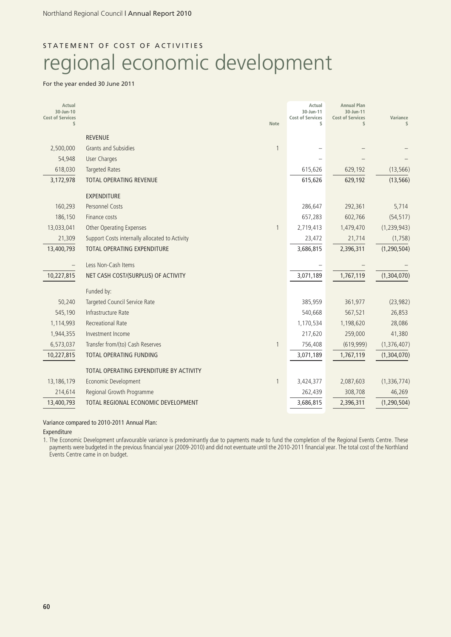# STATEMENT OF COST OF ACTIVITIES regional economic development

#### For the year ended 30 June 2011

| Actual<br>30-Jun-10           |                                                |                          | Actual<br>30-Jun-11           | <b>Annual Plan</b><br>30-Jun-11 |                |
|-------------------------------|------------------------------------------------|--------------------------|-------------------------------|---------------------------------|----------------|
| <b>Cost of Services</b><br>\$ |                                                | <b>Note</b>              | <b>Cost of Services</b><br>\$ | <b>Cost of Services</b><br>\$   | Variance<br>\$ |
|                               | <b>REVENUE</b>                                 |                          |                               |                                 |                |
| 2,500,000                     | <b>Grants and Subsidies</b>                    | $\mathbf{1}$             |                               |                                 |                |
| 54,948                        | <b>User Charges</b>                            |                          |                               |                                 |                |
| 618,030                       | <b>Targeted Rates</b>                          |                          | 615,626                       | 629,192                         | (13, 566)      |
| 3,172,978                     | <b>TOTAL OPERATING REVENUE</b>                 |                          | 615,626                       | 629,192                         | (13, 566)      |
|                               | <b>EXPENDITURE</b>                             |                          |                               |                                 |                |
| 160,293                       | <b>Personnel Costs</b>                         |                          | 286,647                       | 292,361                         | 5,714          |
| 186,150                       | Finance costs                                  |                          | 657,283                       | 602,766                         | (54, 517)      |
| 13,033,041                    | Other Operating Expenses                       | $\mathbf{1}$             | 2,719,413                     | 1,479,470                       | (1, 239, 943)  |
| 21,309                        | Support Costs internally allocated to Activity |                          | 23,472                        | 21,714                          | (1,758)        |
| 13,400,793                    | TOTAL OPERATING EXPENDITURE                    |                          | 3,686,815                     | 2,396,311                       | (1, 290, 504)  |
|                               | Less Non-Cash Items                            |                          |                               |                                 |                |
| 10,227,815                    | NET CASH COST/(SURPLUS) OF ACTIVITY            |                          | 3,071,189                     | 1,767,119                       | (1,304,070)    |
|                               | Funded by:                                     |                          |                               |                                 |                |
| 50,240                        | Targeted Council Service Rate                  |                          | 385,959                       | 361,977                         | (23, 982)      |
| 545,190                       | Infrastructure Rate                            |                          | 540,668                       | 567,521                         | 26,853         |
| 1,114,993                     | <b>Recreational Rate</b>                       |                          | 1,170,534                     | 1,198,620                       | 28,086         |
| 1,944,355                     | Investment Income                              |                          | 217,620                       | 259,000                         | 41,380         |
| 6,573,037                     | Transfer from/(to) Cash Reserves               | $\mathbf{1}$             | 756,408                       | (619,999)                       | (1,376,407)    |
| 10,227,815                    | <b>TOTAL OPERATING FUNDING</b>                 |                          | 3,071,189                     | 1,767,119                       | (1,304,070)    |
|                               | TOTAL OPERATING EXPENDITURE BY ACTIVITY        |                          |                               |                                 |                |
| 13, 186, 179                  | Economic Development                           | $\overline{\phantom{a}}$ | 3,424,377                     | 2,087,603                       | (1, 336, 774)  |
| 214,614                       | Regional Growth Programme                      |                          | 262,439                       | 308,708                         | 46,269         |
| 13,400,793                    | TOTAL REGIONAL ECONOMIC DEVELOPMENT            |                          | 3,686,815                     | 2,396,311                       | (1, 290, 504)  |

Variance compared to 2010-2011 Annual Plan:

#### Expenditure

1. The Economic Development unfavourable variance is predominantly due to payments made to fund the completion of the Regional Events Centre. These payments were budgeted in the previous financial year (2009-2010) and did not eventuate until the 2010-2011 financial year. The total cost of the Northland Events Centre came in on budget.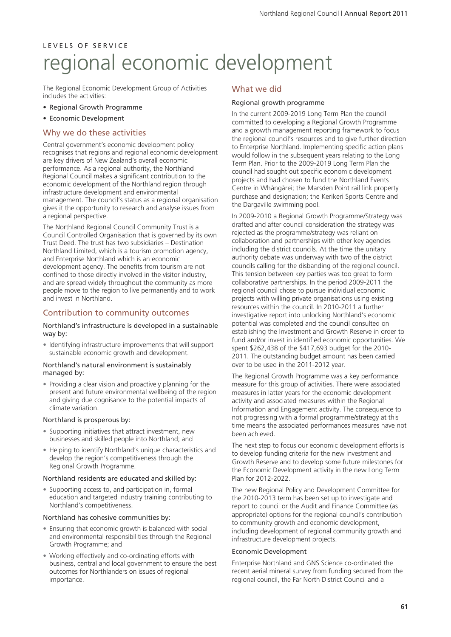# L E V E L S O F S E R V I C E regional economic development

The Regional Economic Development Group of Activities includes the activities:

- Regional Growth Programme
- Economic Development

### Why we do these activities

Central government's economic development policy recognises that regions and regional economic development are key drivers of New Zealand's overall economic performance. As a regional authority, the Northland Regional Council makes a significant contribution to the economic development of the Northland region through infrastructure development and environmental management. The council's status as a regional organisation gives it the opportunity to research and analyse issues from a regional perspective.

The Northland Regional Council Community Trust is a Council Controlled Organisation that is governed by its own Trust Deed. The trust has two subsidiaries – Destination Northland Limited, which is a tourism promotion agency, and Enterprise Northland which is an economic development agency. The benefits from tourism are not confined to those directly involved in the visitor industry, and are spread widely throughout the community as more people move to the region to live permanently and to work and invest in Northland.

## Contribution to community outcomes

#### Northland's infrastructure is developed in a sustainable way by:

• Identifying infrastructure improvements that will support sustainable economic growth and development.

#### Northland's natural environment is sustainably managed by:

• Providing a clear vision and proactively planning for the present and future environmental wellbeing of the region and giving due cognisance to the potential impacts of climate variation.

#### Northland is prosperous by:

- Supporting initiatives that attract investment, new businesses and skilled people into Northland; and
- Helping to identify Northland's unique characteristics and develop the region's competitiveness through the Regional Growth Programme.

#### Northland residents are educated and skilled by:

• Supporting access to, and participation in, formal education and targeted industry training contributing to Northland's competitiveness.

#### Northland has cohesive communities by:

- Ensuring that economic growth is balanced with social and environmental responsibilities through the Regional Growth Programme; and
- Working effectively and co-ordinating efforts with business, central and local government to ensure the best outcomes for Northlanders on issues of regional importance.

### What we did

#### Regional growth programme

In the current 2009-2019 Long Term Plan the council committed to developing a Regional Growth Programme and a growth management reporting framework to focus the regional council's resources and to give further direction to Enterprise Northland. Implementing specific action plans would follow in the subsequent years relating to the Long Term Plan. Prior to the 2009-2019 Long Term Plan the council had sought out specific economic development projects and had chosen to fund the Northland Events Centre in Whängärei; the Marsden Point rail link property purchase and designation; the Kerikeri Sports Centre and the Dargaville swimming pool.

In 2009-2010 a Regional Growth Programme/Strategy was drafted and after council consideration the strategy was rejected as the programme/strategy was reliant on collaboration and partnerships with other key agencies including the district councils. At the time the unitary authority debate was underway with two of the district councils calling for the disbanding of the regional council. This tension between key parties was too great to form collaborative partnerships. In the period 2009-2011 the regional council chose to pursue individual economic projects with willing private organisations using existing resources within the council. In 2010-2011 a further investigative report into unlocking Northland's economic potential was completed and the council consulted on establishing the Investment and Growth Reserve in order to fund and/or invest in identified economic opportunities. We spent \$262,438 of the \$417,693 budget for the 2010- 2011. The outstanding budget amount has been carried over to be used in the 2011-2012 year.

The Regional Growth Programme was a key performance measure for this group of activities. There were associated measures in latter years for the economic development activity and associated measures within the Regional Information and Engagement activity. The consequence to not progressing with a formal programme/strategy at this time means the associated performances measures have not been achieved.

The next step to focus our economic development efforts is to develop funding criteria for the new Investment and Growth Reserve and to develop some future milestones for the Economic Development activity in the new Long Term Plan for 2012-2022.

The new Regional Policy and Development Committee for the 2010-2013 term has been set up to investigate and report to council or the Audit and Finance Committee (as appropriate) options for the regional council's contribution to community growth and economic development, including development of regional community growth and infrastructure development projects.

#### Economic Development

Enterprise Northland and GNS Science co-ordinated the recent aerial mineral survey from funding secured from the regional council, the Far North District Council and a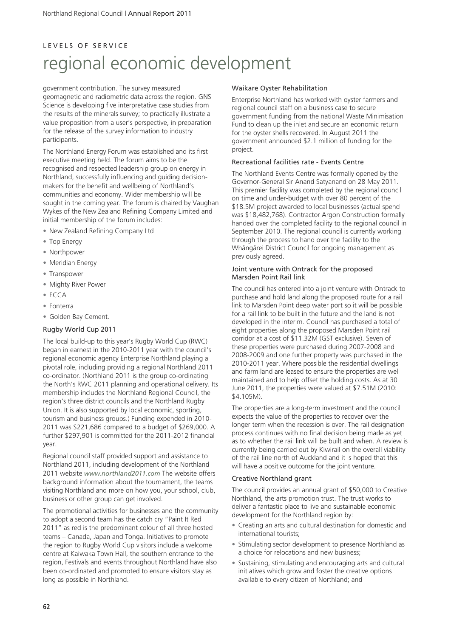# L E V E L S O F S E R V I C E regional economic development

government contribution. The survey measured geomagnetic and radiometric data across the region. GNS Science is developing five interpretative case studies from the results of the minerals survey; to practically illustrate a value proposition from a user's perspective, in preparation for the release of the survey information to industry participants.

The Northland Energy Forum was established and its first executive meeting held. The forum aims to be the recognised and respected leadership group on energy in Northland, successfully influencing and guiding decisionmakers for the benefit and wellbeing of Northland's communities and economy. Wider membership will be sought in the coming year. The forum is chaired by Vaughan Wykes of the New Zealand Refining Company Limited and initial membership of the forum includes:

- New Zealand Refining Company Ltd
- Top Energy
- Northpower
- Meridian Energy
- Transpower
- Mighty River Power
- ECCA
- Fonterra
- Golden Bay Cement.

#### Rugby World Cup 2011

The local build-up to this year's Rugby World Cup (RWC) began in earnest in the 2010-2011 year with the council's regional economic agency Enterprise Northland playing a pivotal role, including providing a regional Northland 2011 co-ordinator. (Northland 2011 is the group co-ordinating the North's RWC 2011 planning and operational delivery. Its membership includes the Northland Regional Council, the region's three district councils and the Northland Rugby Union. It is also supported by local economic, sporting, tourism and business groups.) Funding expended in 2010- 2011 was \$221,686 compared to a budget of \$269,000. A further \$297,901 is committed for the 2011-2012 financial year.

Regional council staff provided support and assistance to Northland 2011, including development of the Northland 2011 website *www.northland2011.com* The website offers background information about the tournament, the teams visiting Northland and more on how you, your school, club, business or other group can get involved.

The promotional activities for businesses and the community to adopt a second team has the catch cry "Paint It Red 2011" as red is the predominant colour of all three hosted teams – Canada, Japan and Tonga. Initiatives to promote the region to Rugby World Cup visitors include a welcome centre at Kaiwaka Town Hall, the southern entrance to the region, Festivals and events throughout Northland have also been co-ordinated and promoted to ensure visitors stay as long as possible in Northland.

#### Waikare Oyster Rehabilitation

Enterprise Northland has worked with oyster farmers and regional council staff on a business case to secure government funding from the national Waste Minimisation Fund to clean up the inlet and secure an economic return for the oyster shells recovered. In August 2011 the government announced \$2.1 million of funding for the project.

#### Recreational facilities rate - Events Centre

The Northland Events Centre was formally opened by the Governor-General Sir Anand Satyanand on 28 May 2011. This premier facility was completed by the regional council on time and under-budget with over 80 percent of the \$18.5M project awarded to local businesses (actual spend was \$18,482,768). Contractor Argon Construction formally handed over the completed facility to the regional council in September 2010. The regional council is currently working through the process to hand over the facility to the Whängärei District Council for ongoing management as previously agreed.

#### Joint venture with Ontrack for the proposed Marsden Point Rail link

The council has entered into a joint venture with Ontrack to purchase and hold land along the proposed route for a rail link to Marsden Point deep water port so it will be possible for a rail link to be built in the future and the land is not developed in the interim. Council has purchased a total of eight properties along the proposed Marsden Point rail corridor at a cost of \$11.32M (GST exclusive). Seven of these properties were purchased during 2007-2008 and 2008-2009 and one further property was purchased in the 2010-2011 year. Where possible the residential dwellings and farm land are leased to ensure the properties are well maintained and to help offset the holding costs. As at 30 June 2011, the properties were valued at \$7.51M (2010: \$4.105M).

The properties are a long-term investment and the council expects the value of the properties to recover over the longer term when the recession is over. The rail designation process continues with no final decision being made as yet as to whether the rail link will be built and when. A review is currently being carried out by Kiwirail on the overall viability of the rail line north of Auckland and it is hoped that this will have a positive outcome for the joint venture.

#### Creative Northland grant

The council provides an annual grant of \$50,000 to Creative Northland, the arts promotion trust. The trust works to deliver a fantastic place to live and sustainable economic development for the Northland region by:

- Creating an arts and cultural destination for domestic and international tourists;
- Stimulating sector development to presence Northland as a choice for relocations and new business;
- Sustaining, stimulating and encouraging arts and cultural initiatives which grow and foster the creative options available to every citizen of Northland; and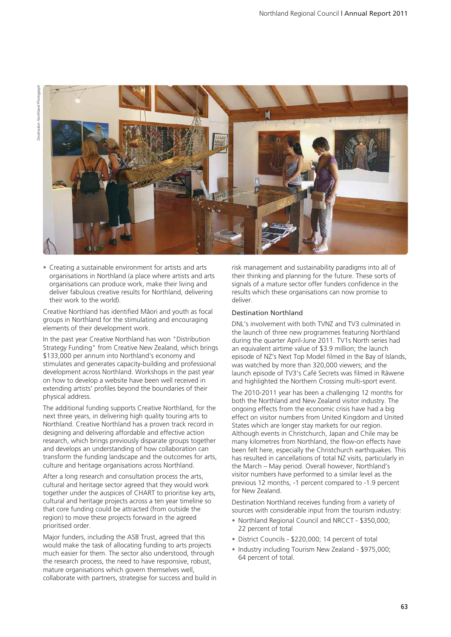

• Creating a sustainable environment for artists and arts organisations in Northland (a place where artists and arts organisations can produce work, make their living and deliver fabulous creative results for Northland, delivering their work to the world).

Creative Northland has identified Mäori and youth as focal groups in Northland for the stimulating and encouraging elements of their development work.

In the past year Creative Northland has won "Distribution Strategy Funding" from Creative New Zealand, which brings \$133,000 per annum into Northland's economy and stimulates and generates capacity-building and professional development across Northland. Workshops in the past year on how to develop a website have been well received in extending artists' profiles beyond the boundaries of their physical address.

The additional funding supports Creative Northland, for the next three years, in delivering high quality touring arts to Northland. Creative Northland has a proven track record in designing and delivering affordable and effective action research, which brings previously disparate groups together and develops an understanding of how collaboration can transform the funding landscape and the outcomes for arts, culture and heritage organisations across Northland.

After a long research and consultation process the arts, cultural and heritage sector agreed that they would work together under the auspices of CHART to prioritise key arts, cultural and heritage projects across a ten year timeline so that core funding could be attracted (from outside the region) to move these projects forward in the agreed prioritised order.

Major funders, including the ASB Trust, agreed that this would make the task of allocating funding to arts projects much easier for them. The sector also understood, through the research process, the need to have responsive, robust, mature organisations which govern themselves well, collaborate with partners, strategise for success and build in risk management and sustainability paradigms into all of their thinking and planning for the future. These sorts of signals of a mature sector offer funders confidence in the results which these organisations can now promise to deliver.

#### Destination Northland

DNL's involvement with both TVNZ and TV3 culminated in the launch of three new programmes featuring Northland during the quarter April-June 2011. TV1s North series had an equivalent airtime value of \$3.9 million; the launch episode of NZ's Next Top Model filmed in the Bay of Islands, was watched by more than 320,000 viewers; and the launch episode of TV3's Café Secrets was filmed in Räwene and highlighted the Northern Crossing multi-sport event.

The 2010-2011 year has been a challenging 12 months for both the Northland and New Zealand visitor industry. The ongoing effects from the economic crisis have had a big effect on visitor numbers from United Kingdom and United States which are longer stay markets for our region. Although events in Christchurch, Japan and Chile may be many kilometres from Northland, the flow-on effects have been felt here, especially the Christchurch earthquakes. This has resulted in cancellations of total NZ visits, particularly in the March – May period. Overall however, Northland's visitor numbers have performed to a similar level as the previous 12 months, -1 percent compared to -1.9 percent for New Zealand.

Destination Northland receives funding from a variety of sources with considerable input from the tourism industry:

- Northland Regional Council and NRCCT \$350,000; 22 percent of total
- District Councils \$220,000; 14 percent of total
- Industry including Tourism New Zealand \$975,000; 64 percent of total.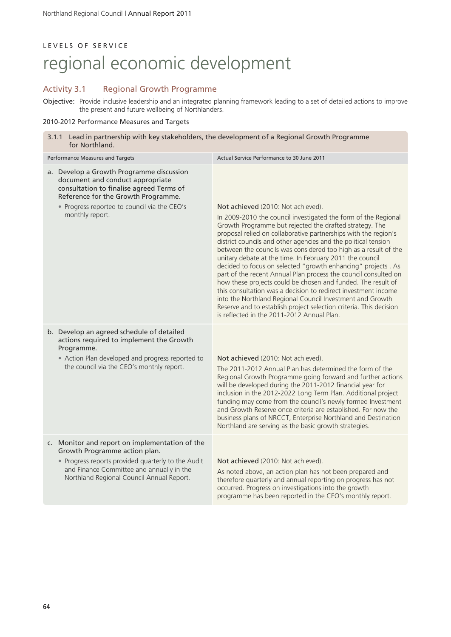# LEVELS OF SERVICE regional economic development

## Activity 3.1 Regional Growth Programme

Objective: Provide inclusive leadership and an integrated planning framework leading to a set of detailed actions to improve the present and future wellbeing of Northlanders.

### 2010-2012 Performance Measures and Targets

| 3.1.1 Lead in partnership with key stakeholders, the development of a Regional Growth Programme<br>for Northland.                                                                                                                  |                                                                                                                                                                                                                                                                                                                                                                                                                                                                                                                                                                                                                                                                                                                                                                                                                                                                                            |  |  |
|------------------------------------------------------------------------------------------------------------------------------------------------------------------------------------------------------------------------------------|--------------------------------------------------------------------------------------------------------------------------------------------------------------------------------------------------------------------------------------------------------------------------------------------------------------------------------------------------------------------------------------------------------------------------------------------------------------------------------------------------------------------------------------------------------------------------------------------------------------------------------------------------------------------------------------------------------------------------------------------------------------------------------------------------------------------------------------------------------------------------------------------|--|--|
| Performance Measures and Targets                                                                                                                                                                                                   | Actual Service Performance to 30 June 2011                                                                                                                                                                                                                                                                                                                                                                                                                                                                                                                                                                                                                                                                                                                                                                                                                                                 |  |  |
| a. Develop a Growth Programme discussion<br>document and conduct appropriate<br>consultation to finalise agreed Terms of<br>Reference for the Growth Programme.<br>• Progress reported to council via the CEO's<br>monthly report. | Not achieved (2010: Not achieved).<br>In 2009-2010 the council investigated the form of the Regional<br>Growth Programme but rejected the drafted strategy. The<br>proposal relied on collaborative partnerships with the region's<br>district councils and other agencies and the political tension<br>between the councils was considered too high as a result of the<br>unitary debate at the time. In February 2011 the council<br>decided to focus on selected "growth enhancing" projects . As<br>part of the recent Annual Plan process the council consulted on<br>how these projects could be chosen and funded. The result of<br>this consultation was a decision to redirect investment income<br>into the Northland Regional Council Investment and Growth<br>Reserve and to establish project selection criteria. This decision<br>is reflected in the 2011-2012 Annual Plan. |  |  |
| b. Develop an agreed schedule of detailed<br>actions required to implement the Growth<br>Programme.<br>• Action Plan developed and progress reported to<br>the council via the CEO's monthly report.                               | Not achieved (2010: Not achieved).<br>The 2011-2012 Annual Plan has determined the form of the<br>Regional Growth Programme going forward and further actions<br>will be developed during the 2011-2012 financial year for<br>inclusion in the 2012-2022 Long Term Plan. Additional project<br>funding may come from the council's newly formed Investment<br>and Growth Reserve once criteria are established. For now the<br>business plans of NRCCT, Enterprise Northland and Destination<br>Northland are serving as the basic growth strategies.                                                                                                                                                                                                                                                                                                                                      |  |  |
| c. Monitor and report on implementation of the<br>Growth Programme action plan.<br>• Progress reports provided quarterly to the Audit<br>and Finance Committee and annually in the<br>Northland Regional Council Annual Report.    | Not achieved (2010: Not achieved).<br>As noted above, an action plan has not been prepared and<br>therefore quarterly and annual reporting on progress has not<br>occurred. Progress on investigations into the growth<br>programme has been reported in the CEO's monthly report.                                                                                                                                                                                                                                                                                                                                                                                                                                                                                                                                                                                                         |  |  |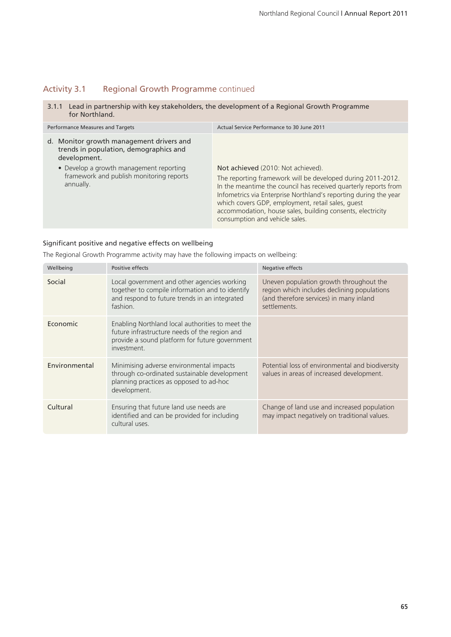# Activity 3.1 Regional Growth Programme continued

3.1.1 Lead in partnership with key stakeholders, the development of a Regional Growth Programme for Northland.

| Performance Measures and Targets                                                                   | Actual Service Performance to 30 June 2011                                                                                                                                                                                                                                                                                                                                                    |  |
|----------------------------------------------------------------------------------------------------|-----------------------------------------------------------------------------------------------------------------------------------------------------------------------------------------------------------------------------------------------------------------------------------------------------------------------------------------------------------------------------------------------|--|
| d. Monitor growth management drivers and<br>trends in population, demographics and<br>development. |                                                                                                                                                                                                                                                                                                                                                                                               |  |
| • Develop a growth management reporting<br>framework and publish monitoring reports<br>annually.   | Not achieved (2010: Not achieved).<br>The reporting framework will be developed during 2011-2012.<br>In the meantime the council has received quarterly reports from<br>Infometrics via Enterprise Northland's reporting during the year<br>which covers GDP, employment, retail sales, quest<br>accommodation, house sales, building consents, electricity<br>consumption and vehicle sales. |  |

### Significant positive and negative effects on wellbeing

The Regional Growth Programme activity may have the following impacts on wellbeing:

| Wellbeing     | Positive effects                                                                                                                                                   | Negative effects                                                                                                                                  |
|---------------|--------------------------------------------------------------------------------------------------------------------------------------------------------------------|---------------------------------------------------------------------------------------------------------------------------------------------------|
| Social        | Local government and other agencies working<br>together to compile information and to identify<br>and respond to future trends in an integrated<br>fashion.        | Uneven population growth throughout the<br>region which includes declining populations<br>(and therefore services) in many inland<br>settlements. |
| Economic      | Enabling Northland local authorities to meet the<br>future infrastructure needs of the region and<br>provide a sound platform for future government<br>investment. |                                                                                                                                                   |
| Environmental | Minimising adverse environmental impacts<br>through co-ordinated sustainable development<br>planning practices as opposed to ad-hoc<br>development.                | Potential loss of environmental and biodiversity<br>values in areas of increased development.                                                     |
| Cultural      | Ensuring that future land use needs are<br>identified and can be provided for including<br>cultural uses.                                                          | Change of land use and increased population<br>may impact negatively on traditional values.                                                       |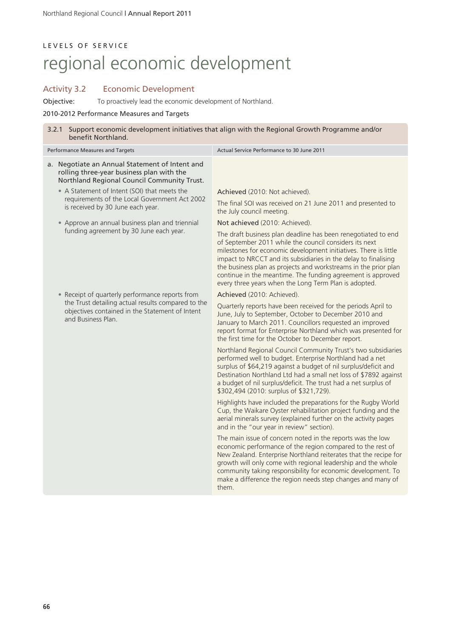# LEVELS OF SERVICE regional economic development

## Activity 3.2 Economic Development

Objective: To proactively lead the economic development of Northland.

### 2010-2012 Performance Measures and Targets

| benefit Northland.                                                                                                                                                                         |                                                                                                                                                                                | 3.2.1 Support economic development initiatives that align with the Regional Growth Programme and/or                                                                                                                                                                                                                                                                                                                                                       |
|--------------------------------------------------------------------------------------------------------------------------------------------------------------------------------------------|--------------------------------------------------------------------------------------------------------------------------------------------------------------------------------|-----------------------------------------------------------------------------------------------------------------------------------------------------------------------------------------------------------------------------------------------------------------------------------------------------------------------------------------------------------------------------------------------------------------------------------------------------------|
| Performance Measures and Targets                                                                                                                                                           |                                                                                                                                                                                | Actual Service Performance to 30 June 2011                                                                                                                                                                                                                                                                                                                                                                                                                |
| a. Negotiate an Annual Statement of Intent and<br>rolling three-year business plan with the<br>Northland Regional Council Community Trust.<br>• A Statement of Intent (SOI) that meets the |                                                                                                                                                                                | Achieved (2010: Not achieved).                                                                                                                                                                                                                                                                                                                                                                                                                            |
|                                                                                                                                                                                            | requirements of the Local Government Act 2002<br>is received by 30 June each year.                                                                                             | The final SOI was received on 21 June 2011 and presented to<br>the July council meeting.                                                                                                                                                                                                                                                                                                                                                                  |
|                                                                                                                                                                                            | • Approve an annual business plan and triennial                                                                                                                                | Not achieved (2010: Achieved).                                                                                                                                                                                                                                                                                                                                                                                                                            |
|                                                                                                                                                                                            | funding agreement by 30 June each year.                                                                                                                                        | The draft business plan deadline has been renegotiated to end<br>of September 2011 while the council considers its next<br>milestones for economic development initiatives. There is little<br>impact to NRCCT and its subsidiaries in the delay to finalising<br>the business plan as projects and workstreams in the prior plan<br>continue in the meantime. The funding agreement is approved<br>every three years when the Long Term Plan is adopted. |
|                                                                                                                                                                                            | • Receipt of quarterly performance reports from<br>the Trust detailing actual results compared to the<br>objectives contained in the Statement of Intent<br>and Business Plan. | Achieved (2010: Achieved).                                                                                                                                                                                                                                                                                                                                                                                                                                |
|                                                                                                                                                                                            |                                                                                                                                                                                | Quarterly reports have been received for the periods April to<br>June, July to September, October to December 2010 and<br>January to March 2011. Councillors requested an improved<br>report format for Enterprise Northland which was presented for<br>the first time for the October to December report.                                                                                                                                                |
|                                                                                                                                                                                            |                                                                                                                                                                                | Northland Regional Council Community Trust's two subsidiaries<br>performed well to budget. Enterprise Northland had a net<br>surplus of \$64,219 against a budget of nil surplus/deficit and<br>Destination Northland Ltd had a small net loss of \$7892 against<br>a budget of nil surplus/deficit. The trust had a net surplus of<br>\$302,494 (2010: surplus of \$321,729).                                                                            |
|                                                                                                                                                                                            |                                                                                                                                                                                | Highlights have included the preparations for the Rugby World<br>Cup, the Waikare Oyster rehabilitation project funding and the<br>aerial minerals survey (explained further on the activity pages<br>and in the "our year in review" section).                                                                                                                                                                                                           |
|                                                                                                                                                                                            |                                                                                                                                                                                | The main issue of concern noted in the reports was the low<br>economic performance of the region compared to the rest of<br>New Zealand. Enterprise Northland reiterates that the recipe for<br>growth will only come with regional leadership and the whole<br>community taking responsibility for economic development. To<br>make a difference the region needs step changes and many of<br>them.                                                      |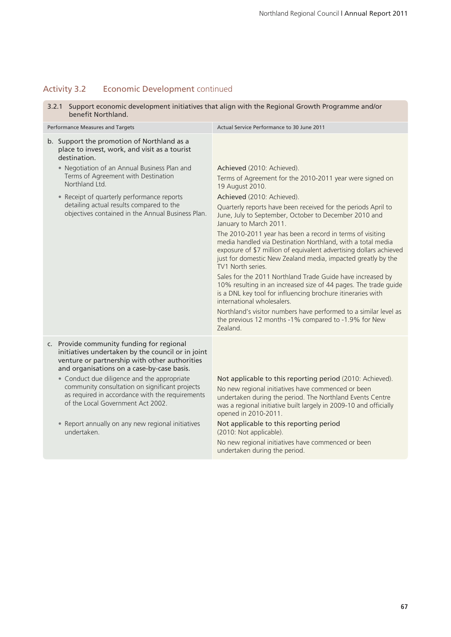## Activity 3.2 Economic Development continued

3.2.1 Support economic development initiatives that align with the Regional Growth Programme and/or benefit Northland.

| Performance Measures and Targets |                                                                                                                                                                                               | Actual Service Performance to 30 June 2011                                                                                                                                                                                                                                          |  |
|----------------------------------|-----------------------------------------------------------------------------------------------------------------------------------------------------------------------------------------------|-------------------------------------------------------------------------------------------------------------------------------------------------------------------------------------------------------------------------------------------------------------------------------------|--|
|                                  | b. Support the promotion of Northland as a<br>place to invest, work, and visit as a tourist<br>destination.                                                                                   |                                                                                                                                                                                                                                                                                     |  |
|                                  | • Negotiation of an Annual Business Plan and                                                                                                                                                  | Achieved (2010: Achieved).                                                                                                                                                                                                                                                          |  |
|                                  | Terms of Agreement with Destination<br>Northland Ltd                                                                                                                                          | Terms of Agreement for the 2010-2011 year were signed on<br>19 August 2010.                                                                                                                                                                                                         |  |
|                                  | • Receipt of quarterly performance reports                                                                                                                                                    | Achieved (2010: Achieved).                                                                                                                                                                                                                                                          |  |
|                                  | detailing actual results compared to the<br>objectives contained in the Annual Business Plan.                                                                                                 | Quarterly reports have been received for the periods April to<br>June, July to September, October to December 2010 and<br>January to March 2011.                                                                                                                                    |  |
|                                  |                                                                                                                                                                                               | The 2010-2011 year has been a record in terms of visiting<br>media handled via Destination Northland, with a total media<br>exposure of \$7 million of equivalent advertising dollars achieved<br>just for domestic New Zealand media, impacted greatly by the<br>TV1 North series. |  |
|                                  |                                                                                                                                                                                               | Sales for the 2011 Northland Trade Guide have increased by<br>10% resulting in an increased size of 44 pages. The trade guide<br>is a DNL key tool for influencing brochure itineraries with<br>international wholesalers.                                                          |  |
|                                  |                                                                                                                                                                                               | Northland's visitor numbers have performed to a similar level as<br>the previous 12 months -1% compared to -1.9% for New<br>Zealand.                                                                                                                                                |  |
|                                  | c. Provide community funding for regional<br>initiatives undertaken by the council or in joint<br>venture or partnership with other authorities<br>and organisations on a case-by-case basis. |                                                                                                                                                                                                                                                                                     |  |
|                                  | • Conduct due diligence and the appropriate<br>community consultation on significant projects<br>as required in accordance with the requirements<br>of the Local Government Act 2002.         | Not applicable to this reporting period (2010: Achieved).<br>No new regional initiatives have commenced or been<br>undertaken during the period. The Northland Events Centre<br>was a regional initiative built largely in 2009-10 and officially<br>opened in 2010-2011.           |  |
|                                  | • Report annually on any new regional initiatives<br>undertaken.                                                                                                                              | Not applicable to this reporting period<br>(2010: Not applicable).                                                                                                                                                                                                                  |  |
|                                  |                                                                                                                                                                                               | No new regional initiatives have commenced or been<br>undertaken during the period.                                                                                                                                                                                                 |  |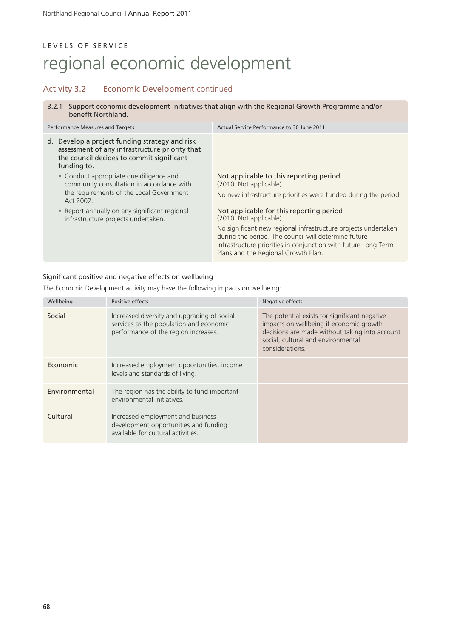# LEVELS OF SERVICE regional economic development

## Activity 3.2 Economic Development continued

3.2.1 Support economic development initiatives that align with the Regional Growth Programme and/or benefit Northland.

| Performance Measures and Targets                                                                                                                                | Actual Service Performance to 30 June 2011                                                                                                                                                    |
|-----------------------------------------------------------------------------------------------------------------------------------------------------------------|-----------------------------------------------------------------------------------------------------------------------------------------------------------------------------------------------|
| Develop a project funding strategy and risk<br>d.<br>assessment of any infrastructure priority that<br>the council decides to commit significant<br>funding to. |                                                                                                                                                                                               |
| • Conduct appropriate due diligence and<br>community consultation in accordance with<br>the requirements of the Local Government<br>Act 2002.                   | Not applicable to this reporting period<br>(2010: Not applicable).<br>No new infrastructure priorities were funded during the period.                                                         |
| • Report annually on any significant regional<br>infrastructure projects undertaken.                                                                            | Not applicable for this reporting period<br>(2010: Not applicable).<br>No significant new regional infrastructure projects undertaken<br>during the period. The council will determine future |
|                                                                                                                                                                 | infrastructure priorities in conjunction with future Long Term<br>Plans and the Regional Growth Plan.                                                                                         |

### Significant positive and negative effects on wellbeing

The Economic Development activity may have the following impacts on wellbeing:

| Wellbeing     | Positive effects                                                                                                               | Negative effects                                                                                                                                                                                    |
|---------------|--------------------------------------------------------------------------------------------------------------------------------|-----------------------------------------------------------------------------------------------------------------------------------------------------------------------------------------------------|
| Social        | Increased diversity and upgrading of social<br>services as the population and economic<br>performance of the region increases. | The potential exists for significant negative<br>impacts on wellbeing if economic growth<br>decisions are made without taking into account<br>social, cultural and environmental<br>considerations. |
| Economic      | Increased employment opportunities, income<br>levels and standards of living.                                                  |                                                                                                                                                                                                     |
| Environmental | The region has the ability to fund important<br>environmental initiatives.                                                     |                                                                                                                                                                                                     |
| Cultural      | Increased employment and business<br>development opportunities and funding<br>available for cultural activities.               |                                                                                                                                                                                                     |